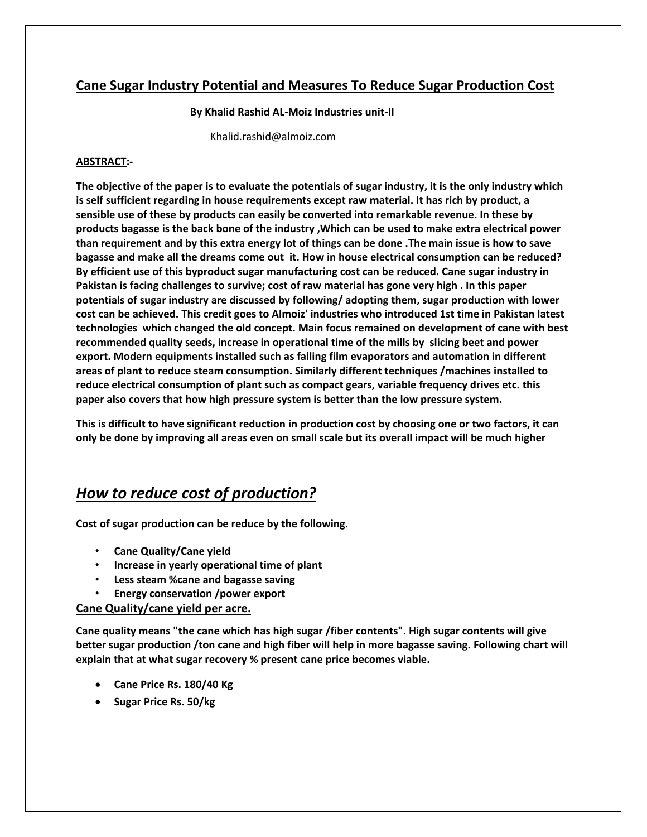## **Cane Sugar Industry Potential and Measures To Reduce Sugar Production Cost**

#### **By Khalid Rashid AL-Moiz Industries unit-II**

[Khalid.rashid@almoiz.com](mailto:Khalid.rashid@almoiz.com)

#### **ABSTRACT:-**

**The objective of the paper is to evaluate the potentials of sugar industry, it is the only industry which is self sufficient regarding in house requirements except raw material. It has rich by product, a sensible use of these by products can easily be converted into remarkable revenue. In these by products bagasse is the back bone of the industry ,Which can be used to make extra electrical power than requirement and by this extra energy lot of things can be done .The main issue is how to save bagasse and make all the dreams come out it. How in house electrical consumption can be reduced? By efficient use of this byproduct sugar manufacturing cost can be reduced. Cane sugar industry in Pakistan is facing challenges to survive; cost of raw material has gone very high . In this paper potentials of sugar industry are discussed by following/ adopting them, sugar production with lower cost can be achieved. This credit goes to Almoiz' industries who introduced 1st time in Pakistan latest technologies which changed the old concept. Main focus remained on development of cane with best recommended quality seeds, increase in operational time of the mills by slicing beet and power export. Modern equipments installed such as falling film evaporators and automation in different areas of plant to reduce steam consumption. Similarly different techniques /machines installed to reduce electrical consumption of plant such as compact gears, variable frequency drives etc. this paper also covers that how high pressure system is better than the low pressure system.**

**This is difficult to have significant reduction in production cost by choosing one or two factors, it can only be done by improving all areas even on small scale but its overall impact will be much higher** 

# *How to reduce cost of production?*

**Cost of sugar production can be reduce by the following.**

- **Cane Quality/Cane yield**
- **Increase in yearly operational time of plant**
- **Less steam %cane and bagasse saving**
- **Energy conservation /power export**

#### **Cane Quality/cane yield per acre.**

**Cane quality means "the cane which has high sugar /fiber contents". High sugar contents will give better sugar production /ton cane and high fiber will help in more bagasse saving. Following chart will explain that at what sugar recovery % present cane price becomes viable.**

- **Cane Price Rs. 180/40 Kg**
- **Sugar Price Rs. 50/kg**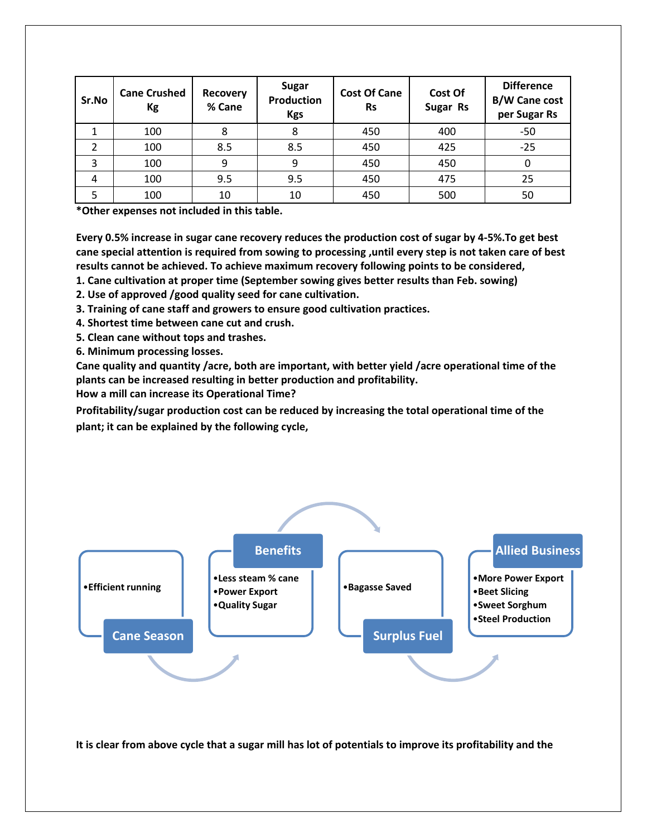| Sr.No | <b>Cane Crushed</b><br>Kg | <b>Recovery</b><br>% Cane | Sugar<br><b>Production</b><br><b>Kgs</b> | <b>Cost Of Cane</b><br><b>Rs</b> | Cost Of<br>Sugar Rs | <b>Difference</b><br><b>B/W Cane cost</b><br>per Sugar Rs |
|-------|---------------------------|---------------------------|------------------------------------------|----------------------------------|---------------------|-----------------------------------------------------------|
|       | 100                       | 8                         | 8                                        | 450                              | 400                 | $-50$                                                     |
|       | 100                       | 8.5                       | 8.5                                      | 450                              | 425                 | $-25$                                                     |
| 3     | 100                       | 9                         | ٩                                        | 450                              | 450                 |                                                           |
| 4     | 100                       | 9.5                       | 9.5                                      | 450                              | 475                 | 25                                                        |
|       | 100                       | 10                        | 10                                       | 450                              | 500                 | 50                                                        |

**\*Other expenses not included in this table.**

**Every 0.5% increase in sugar cane recovery reduces the production cost of sugar by 4-5%.To get best cane special attention is required from sowing to processing ,until every step is not taken care of best results cannot be achieved. To achieve maximum recovery following points to be considered,**

**1. Cane cultivation at proper time (September sowing gives better results than Feb. sowing)**

**2. Use of approved /good quality seed for cane cultivation.**

**3. Training of cane staff and growers to ensure good cultivation practices.**

**4. Shortest time between cane cut and crush.**

**5. Clean cane without tops and trashes.**

**6. Minimum processing losses.**

**Cane quality and quantity /acre, both are important, with better yield /acre operational time of the plants can be increased resulting in better production and profitability.**

**How a mill can increase its Operational Time?**

**Profitability/sugar production cost can be reduced by increasing the total operational time of the plant; it can be explained by the following cycle,**



**It is clear from above cycle that a sugar mill has lot of potentials to improve its profitability and the**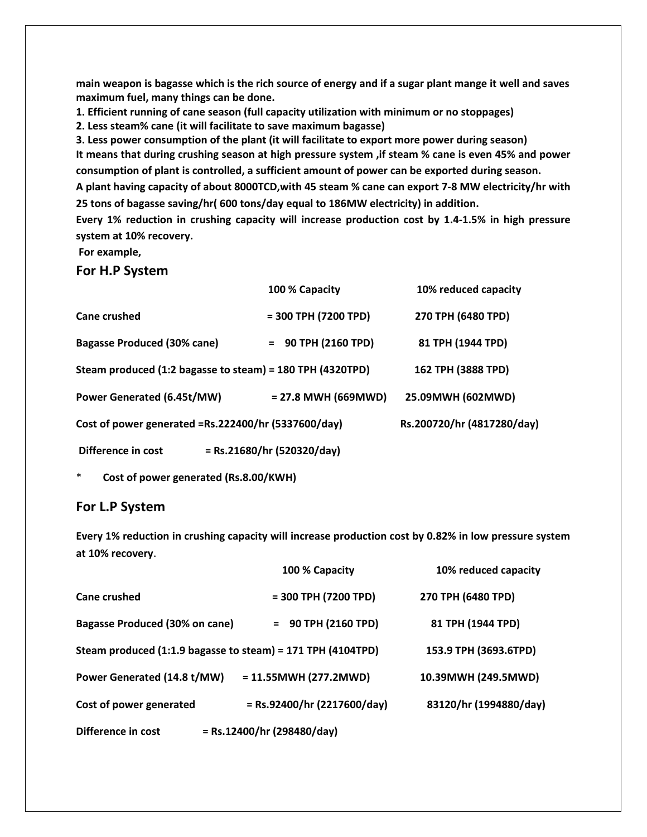**main weapon is bagasse which is the rich source of energy and if a sugar plant mange it well and saves maximum fuel, many things can be done.**

**1. Efficient running of cane season (full capacity utilization with minimum or no stoppages)**

**2. Less steam% cane (it will facilitate to save maximum bagasse)**

**3. Less power consumption of the plant (it will facilitate to export more power during season) It means that during crushing season at high pressure system ,if steam % cane is even 45% and power consumption of plant is controlled, a sufficient amount of power can be exported during season.**

**A plant having capacity of about 8000TCD,with 45 steam % cane can export 7-8 MW electricity/hr with 25 tons of bagasse saving/hr( 600 tons/day equal to 186MW electricity) in addition.**

**Every 1% reduction in crushing capacity will increase production cost by 1.4-1.5% in high pressure system at 10% recovery.**

**For example,** 

**For H.P System**

|                                                           | 100 % Capacity               | 10% reduced capacity       |
|-----------------------------------------------------------|------------------------------|----------------------------|
| Cane crushed                                              | $= 300$ TPH (7200 TPD)       | 270 TPH (6480 TPD)         |
| <b>Bagasse Produced (30% cane)</b>                        | $= 90$ TPH (2160 TPD)        | 81 TPH (1944 TPD)          |
| Steam produced (1:2 bagasse to steam) = 180 TPH (4320TPD) |                              | 162 TPH (3888 TPD)         |
| <b>Power Generated (6.45t/MW)</b>                         | $= 27.8$ MWH (669MWD)        | 25.09MWH (602MWD)          |
| Cost of power generated =Rs.222400/hr (5337600/day)       |                              | Rs.200720/hr (4817280/day) |
| Difference in cost                                        | $=$ Rs.21680/hr (520320/day) |                            |

\* **Cost of power generated (Rs.8.00/KWH)**

#### **For L.P System**

**Every 1% reduction in crushing capacity will increase production cost by 0.82% in low pressure system at 10% recovery**.

|                                                             | 100 % Capacity                | 10% reduced capacity   |
|-------------------------------------------------------------|-------------------------------|------------------------|
| <b>Cane crushed</b>                                         | $= 300$ TPH (7200 TPD)        | 270 TPH (6480 TPD)     |
| <b>Bagasse Produced (30% on cane)</b>                       | $= 90$ TPH (2160 TPD)         | 81 TPH (1944 TPD)      |
| Steam produced (1:1.9 bagasse to steam) = 171 TPH (4104TPD) |                               | 153.9 TPH (3693.6TPD)  |
| Power Generated (14.8 t/MW)                                 | $= 11.55$ MWH (277.2MWD)      | 10.39MWH (249.5MWD)    |
| Cost of power generated                                     | $=$ Rs.92400/hr (2217600/day) | 83120/hr (1994880/day) |
| Difference in cost                                          | $=$ Rs.12400/hr (298480/day)  |                        |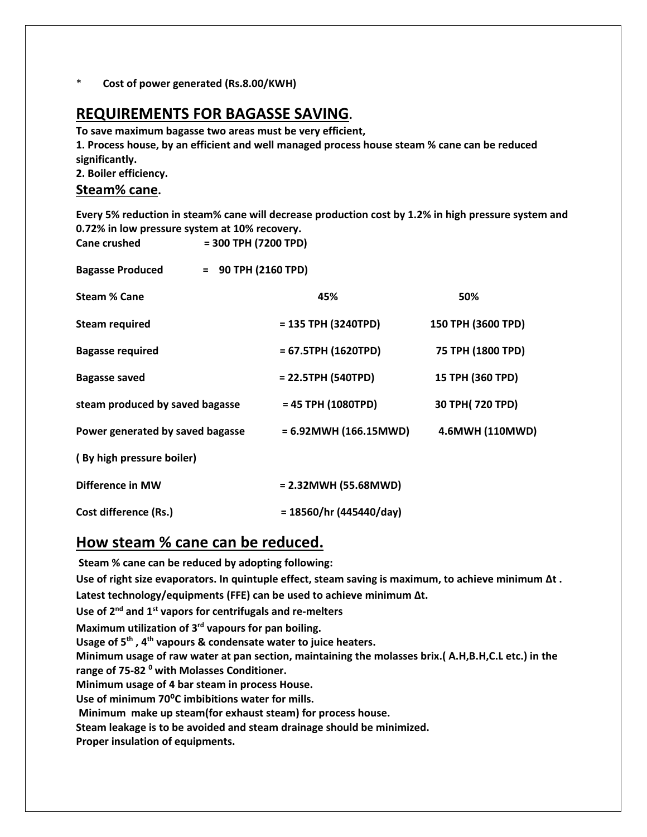\* **Cost of power generated (Rs.8.00/KWH)**

# **REQUIREMENTS FOR BAGASSE SAVING.**

**To save maximum bagasse two areas must be very efficient, 1. Process house, by an efficient and well managed process house steam % cane can be reduced significantly.**

**2. Boiler efficiency.**

#### **Steam% cane.**

**Every 5% reduction in steam% cane will decrease production cost by 1.2% in high pressure system and 0.72% in low pressure system at 10% recovery.**

| Cane crushed                     |                       | $= 300$ TPH (7200 TPD)         |                    |  |  |  |
|----------------------------------|-----------------------|--------------------------------|--------------------|--|--|--|
| <b>Bagasse Produced</b>          | $= 90$ TPH (2160 TPD) |                                |                    |  |  |  |
| <b>Steam % Cane</b>              |                       | 45%                            | 50%                |  |  |  |
| <b>Steam required</b>            |                       | $= 135$ TPH (3240TPD)          | 150 TPH (3600 TPD) |  |  |  |
| <b>Bagasse required</b>          |                       | $= 67.5$ TPH (1620TPD)         | 75 TPH (1800 TPD)  |  |  |  |
| <b>Bagasse saved</b>             |                       | $= 22.5$ TPH (540TPD)          | 15 TPH (360 TPD)   |  |  |  |
| steam produced by saved bagasse  |                       | $= 45$ TPH (1080TPD)           | 30 TPH(720 TPD)    |  |  |  |
| Power generated by saved bagasse |                       | $= 6.92$ MWH $(166.15$ MWD $)$ | 4.6MWH (110MWD)    |  |  |  |
| (By high pressure boiler)        |                       |                                |                    |  |  |  |
| <b>Difference in MW</b>          |                       | $= 2.32$ MWH (55.68MWD)        |                    |  |  |  |
| Cost difference (Rs.)            |                       | $= 18560/hr (445440/day)$      |                    |  |  |  |

## **How steam % cane can be reduced.**

**Steam % cane can be reduced by adopting following: Use of right size evaporators. In quintuple effect, steam saving is maximum, to achieve minimum Δt . Latest technology/equipments (FFE) can be used to achieve minimum Δt. Use of 2nd and 1st vapors for centrifugals and re-melters Maximum utilization of 3 rd vapours for pan boiling. Usage of 5th , 4th vapours & condensate water to juice heaters. Minimum usage of raw water at pan section, maintaining the molasses brix.( A.H,B.H,C.L etc.) in the range of 75-82 <sup>0</sup> with Molasses Conditioner. Minimum usage of 4 bar steam in process House. Use of minimum 70⁰C imbibitions water for mills. Minimum make up steam(for exhaust steam) for process house. Steam leakage is to be avoided and steam drainage should be minimized. Proper insulation of equipments.**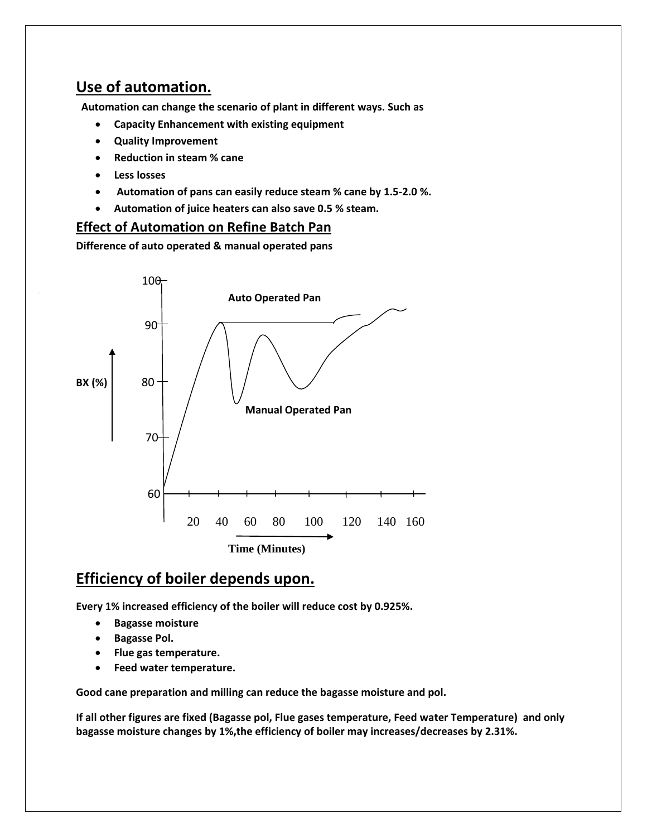# **Use of automation.**

 **Automation can change the scenario of plant in different ways. Such as**

- **Capacity Enhancement with existing equipment**
- **Quality Improvement**
- **Reduction in steam % cane**
- **Less losses**
- **Automation of pans can easily reduce steam % cane by 1.5-2.0 %.**
- **Automation of juice heaters can also save 0.5 % steam.**

#### **Effect of Automation on Refine Batch Pan**

**Difference of auto operated & manual operated pans**



# **Efficiency of boiler depends upon.**

**Every 1% increased efficiency of the boiler will reduce cost by 0.925%.**

- **Bagasse moisture**
- **Bagasse Pol.**
- **Flue gas temperature.**
- **Feed water temperature.**

**Good cane preparation and milling can reduce the bagasse moisture and pol.**

**If all other figures are fixed (Bagasse pol, Flue gases temperature, Feed water Temperature) and only bagasse moisture changes by 1%,the efficiency of boiler may increases/decreases by 2.31%.**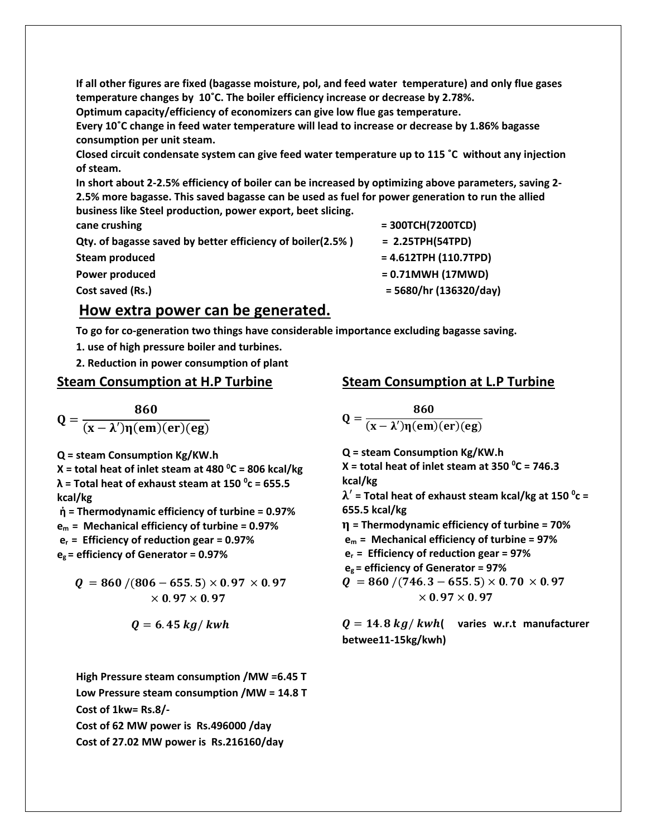**If all other figures are fixed (bagasse moisture, pol, and feed water temperature) and only flue gases temperature changes by 10˚C. The boiler efficiency increase or decrease by 2.78%.** 

**Optimum capacity/efficiency of economizers can give low flue gas temperature.**

**Every 10˚C change in feed water temperature will lead to increase or decrease by 1.86% bagasse consumption per unit steam.** 

**Closed circuit condensate system can give feed water temperature up to 115 ˚C without any injection of steam.**

**In short about 2-2.5% efficiency of boiler can be increased by optimizing above parameters, saving 2- 2.5% more bagasse. This saved bagasse can be used as fuel for power generation to run the allied business like Steel production, power export, beet slicing.** 

**cane crushing**  $= 300TCH(7200TCD)$ 

**Qty. of bagasse saved by better efficiency of boiler(2.5% ) = 2.25TPH(54TPD)**

# **Steam produced**  $= 4.612$ **TPH (110.7TPD)** Power produced  $= 0.71$ MWH (17MWD) **Cost saved (Rs.) = 5680/hr (136320/day)**

## **How extra power can be generated.**

**To go for co-generation two things have considerable importance excluding bagasse saving.**

- **1. use of high pressure boiler and turbines.**
- **2. Reduction in power consumption of plant**

#### **Steam Consumption at H.P Turbine**

 $Q =$ 860  $(x - \lambda')\eta(em)(er)(eg)$ 

**Q = steam Consumption Kg/KW.h**

**X = total heat of inlet steam at 480 <sup>0</sup>C = 806 kcal/kg λ = Total heat of exhaust steam at 150 <sup>0</sup> c = 655.5 kcal/kg**

**ἠ = Thermodynamic efficiency of turbine = 0.97% em = Mechanical efficiency of turbine = 0.97%**

**er = Efficiency of reduction gear = 0.97%**

**eg = efficiency of Generator = 0.97%**

$$
Q = 860 / (806 - 655.5) \times 0.97 \times 0.97
$$
  
× 0.97 × 0.97

$$
Q=6.45\ kg/\ kwh
$$

**High Pressure steam consumption /MW =6.45 T Low Pressure steam consumption /MW = 14.8 T Cost of 1kw= Rs.8/- Cost of 62 MW power is Rs.496000 /day**

**Cost of 27.02 MW power is Rs.216160/day**

#### **Steam Consumption at L.P Turbine**

$$
Q=\frac{860}{(x-\lambda')\eta(em)(er)(eg)}
$$

**Q = steam Consumption Kg/KW.h X = total heat of inlet steam at 350 <sup>0</sup>C = 746.3 kcal/kg** ′ **= Total heat of exhaust steam kcal/kg at 150 <sup>0</sup> c = 655.5 kcal/kg = Thermodynamic efficiency of turbine = 70% em = Mechanical efficiency of turbine = 97% er = Efficiency of reduction gear = 97% eg = efficiency of Generator = 97%**  $Q = 860 / (746.3 - 655.5) \times 0.70 \times 0.97$  $\times$  0.97  $\times$  0.97

 $Q = 14.8 kg/kwh$  varies w.r.t manufacturer **betwee11-15kg/kwh)**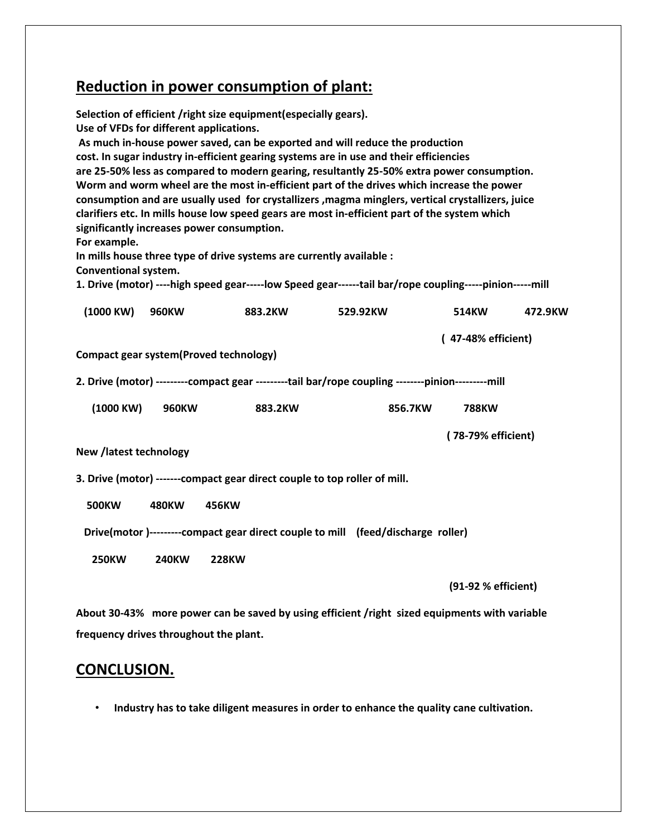# **Reduction in power consumption of plant:**

| Selection of efficient /right size equipment(especially gears).<br>Use of VFDs for different applications.<br>As much in-house power saved, can be exported and will reduce the production<br>cost. In sugar industry in-efficient gearing systems are in use and their efficiencies<br>are 25-50% less as compared to modern gearing, resultantly 25-50% extra power consumption.<br>Worm and worm wheel are the most in-efficient part of the drives which increase the power<br>consumption and are usually used for crystallizers , magma minglers, vertical crystallizers, juice<br>clarifiers etc. In mills house low speed gears are most in-efficient part of the system which<br>significantly increases power consumption.<br>For example.<br>In mills house three type of drive systems are currently available :<br>Conventional system.<br>1. Drive (motor) ----high speed gear-----low Speed gear------tail bar/rope coupling-----pinion-----mill |              |              |          |                    |         |
|-----------------------------------------------------------------------------------------------------------------------------------------------------------------------------------------------------------------------------------------------------------------------------------------------------------------------------------------------------------------------------------------------------------------------------------------------------------------------------------------------------------------------------------------------------------------------------------------------------------------------------------------------------------------------------------------------------------------------------------------------------------------------------------------------------------------------------------------------------------------------------------------------------------------------------------------------------------------|--------------|--------------|----------|--------------------|---------|
| (1000 KW)                                                                                                                                                                                                                                                                                                                                                                                                                                                                                                                                                                                                                                                                                                                                                                                                                                                                                                                                                       | <b>960KW</b> | 883.2KW      | 529.92KW | 514KW              | 472.9KW |
|                                                                                                                                                                                                                                                                                                                                                                                                                                                                                                                                                                                                                                                                                                                                                                                                                                                                                                                                                                 |              |              |          | (47-48% efficient) |         |
| <b>Compact gear system(Proved technology)</b>                                                                                                                                                                                                                                                                                                                                                                                                                                                                                                                                                                                                                                                                                                                                                                                                                                                                                                                   |              |              |          |                    |         |
| 2. Drive (motor) --------- compact gear ---------tail bar/rope coupling --------pinion---------mill                                                                                                                                                                                                                                                                                                                                                                                                                                                                                                                                                                                                                                                                                                                                                                                                                                                             |              |              |          |                    |         |
| (1000 KW)                                                                                                                                                                                                                                                                                                                                                                                                                                                                                                                                                                                                                                                                                                                                                                                                                                                                                                                                                       | <b>960KW</b> | 883.2KW      | 856.7KW  | <b>788KW</b>       |         |
|                                                                                                                                                                                                                                                                                                                                                                                                                                                                                                                                                                                                                                                                                                                                                                                                                                                                                                                                                                 |              |              |          | (78-79% efficient) |         |
| New /latest technology                                                                                                                                                                                                                                                                                                                                                                                                                                                                                                                                                                                                                                                                                                                                                                                                                                                                                                                                          |              |              |          |                    |         |
| 3. Drive (motor) ------- compact gear direct couple to top roller of mill.                                                                                                                                                                                                                                                                                                                                                                                                                                                                                                                                                                                                                                                                                                                                                                                                                                                                                      |              |              |          |                    |         |
| <b>500KW</b>                                                                                                                                                                                                                                                                                                                                                                                                                                                                                                                                                                                                                                                                                                                                                                                                                                                                                                                                                    | 480KW        | 456KW        |          |                    |         |
| Drive(motor)---------compact gear direct couple to mill (feed/discharge roller)                                                                                                                                                                                                                                                                                                                                                                                                                                                                                                                                                                                                                                                                                                                                                                                                                                                                                 |              |              |          |                    |         |
| <b>250KW</b>                                                                                                                                                                                                                                                                                                                                                                                                                                                                                                                                                                                                                                                                                                                                                                                                                                                                                                                                                    | <b>240KW</b> | <b>228KW</b> |          |                    |         |

 **(91-92 % efficient)**

**About 30-43% more power can be saved by using efficient /right sized equipments with variable frequency drives throughout the plant.**

# **CONCLUSION.**

• **Industry has to take diligent measures in order to enhance the quality cane cultivation.**